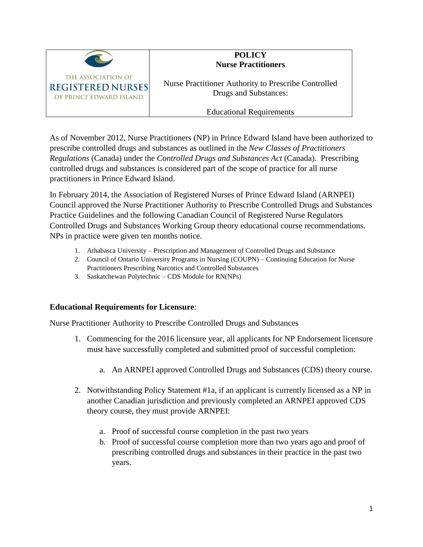

## **POLICY Nurse Practitioners**

Nurse Practitioner Authority to Prescribe Controlled Drugs and Substances:

Educational Requirements

As of November 2012, Nurse Practitioners (NP) in Prince Edward Island have been authorized to prescribe controlled drugs and substances as outlined in the *New Classes of Practitioners Regulations* (Canada) under the *Controlled Drugs and Substances Act* (Canada). Prescribing controlled drugs and substances is considered part of the scope of practice for all nurse practitioners in Prince Edward Island.

In February 2014, the Association of Registered Nurses of Prince Edward Island (ARNPEI) Council approved the Nurse Practitioner Authority to Prescribe Controlled Drugs and Substances Practice Guidelines and the following Canadian Council of Registered Nurse Regulators Controlled Drugs and Substances Working Group theory educational course recommendations. NPs in practice were given ten months notice.

- 1. Athabasca University Prescription and Management of Controlled Drugs and Substance
- 2. Council of Ontario University Programs in Nursing (COUPN) Continuing Education for Nurse Practitioners Prescribing Narcotics and Controlled Substances
- 3. Saskatchewan Polytechnic CDS Module for RN(NPs)

## **Educational Requirements for Licensure**:

Nurse Practitioner Authority to Prescribe Controlled Drugs and Substances

- 1. Commencing for the 2016 licensure year, all applicants for NP Endorsement licensure must have successfully completed and submitted proof of successful completion:
	- a. An ARNPEI approved Controlled Drugs and Substances (CDS) theory course.
- 2. Notwithstanding Policy Statement #1a, if an applicant is currently licensed as a NP in another Canadian jurisdiction and previously completed an ARNPEI approved CDS theory course, they must provide ARNPEI:
	- a. Proof of successful course completion in the past two years
	- b. Proof of successful course completion more than two years ago and proof of prescribing controlled drugs and substances in their practice in the past two years.